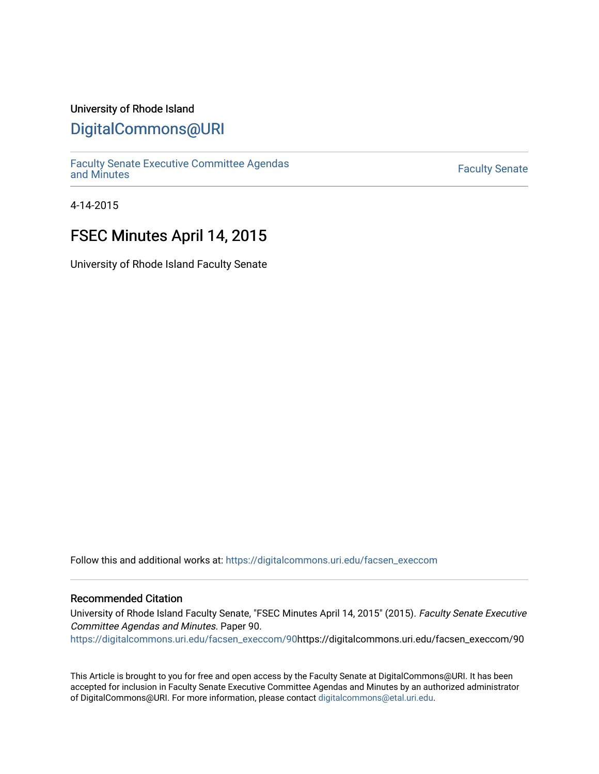## University of Rhode Island

## [DigitalCommons@URI](https://digitalcommons.uri.edu/)

[Faculty Senate Executive Committee Agendas](https://digitalcommons.uri.edu/facsen_execcom)  [and Minutes](https://digitalcommons.uri.edu/facsen_execcom) [Faculty Senate](https://digitalcommons.uri.edu/facsen) 

4-14-2015

# FSEC Minutes April 14, 2015

University of Rhode Island Faculty Senate

Follow this and additional works at: [https://digitalcommons.uri.edu/facsen\\_execcom](https://digitalcommons.uri.edu/facsen_execcom?utm_source=digitalcommons.uri.edu%2Ffacsen_execcom%2F90&utm_medium=PDF&utm_campaign=PDFCoverPages) 

## Recommended Citation

University of Rhode Island Faculty Senate, "FSEC Minutes April 14, 2015" (2015). Faculty Senate Executive Committee Agendas and Minutes. Paper 90.

[https://digitalcommons.uri.edu/facsen\\_execcom/90h](https://digitalcommons.uri.edu/facsen_execcom/90?utm_source=digitalcommons.uri.edu%2Ffacsen_execcom%2F90&utm_medium=PDF&utm_campaign=PDFCoverPages)ttps://digitalcommons.uri.edu/facsen\_execcom/90

This Article is brought to you for free and open access by the Faculty Senate at DigitalCommons@URI. It has been accepted for inclusion in Faculty Senate Executive Committee Agendas and Minutes by an authorized administrator of DigitalCommons@URI. For more information, please contact [digitalcommons@etal.uri.edu](mailto:digitalcommons@etal.uri.edu).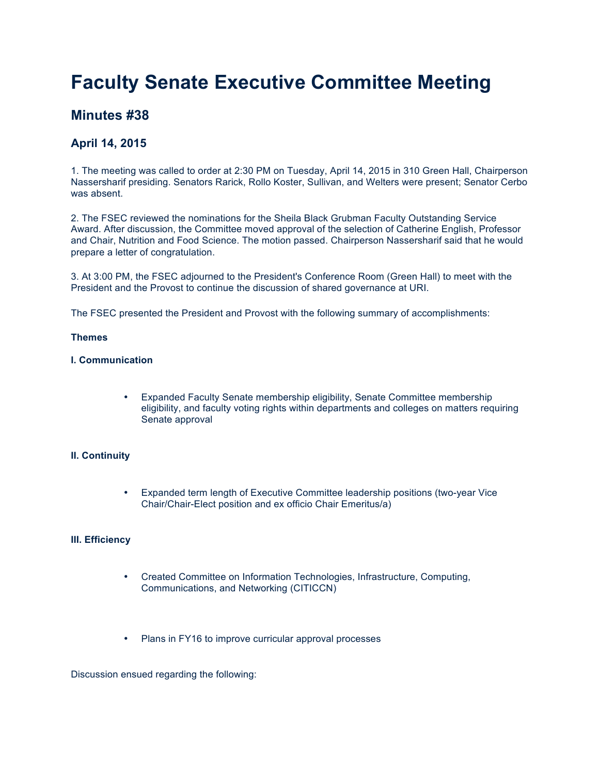# **Faculty Senate Executive Committee Meeting**

## **Minutes #38**

## **April 14, 2015**

1. The meeting was called to order at 2:30 PM on Tuesday, April 14, 2015 in 310 Green Hall, Chairperson Nassersharif presiding. Senators Rarick, Rollo Koster, Sullivan, and Welters were present; Senator Cerbo was absent.

2. The FSEC reviewed the nominations for the Sheila Black Grubman Faculty Outstanding Service Award. After discussion, the Committee moved approval of the selection of Catherine English, Professor and Chair, Nutrition and Food Science. The motion passed. Chairperson Nassersharif said that he would prepare a letter of congratulation.

3. At 3:00 PM, the FSEC adjourned to the President's Conference Room (Green Hall) to meet with the President and the Provost to continue the discussion of shared governance at URI.

The FSEC presented the President and Provost with the following summary of accomplishments:

#### **Themes**

## **I. Communication**

• Expanded Faculty Senate membership eligibility, Senate Committee membership eligibility, and faculty voting rights within departments and colleges on matters requiring Senate approval

## **II. Continuity**

• Expanded term length of Executive Committee leadership positions (two-year Vice Chair/Chair-Elect position and ex officio Chair Emeritus/a)

#### **III. Efficiency**

- Created Committee on Information Technologies, Infrastructure, Computing, Communications, and Networking (CITICCN)
- Plans in FY16 to improve curricular approval processes

Discussion ensued regarding the following: